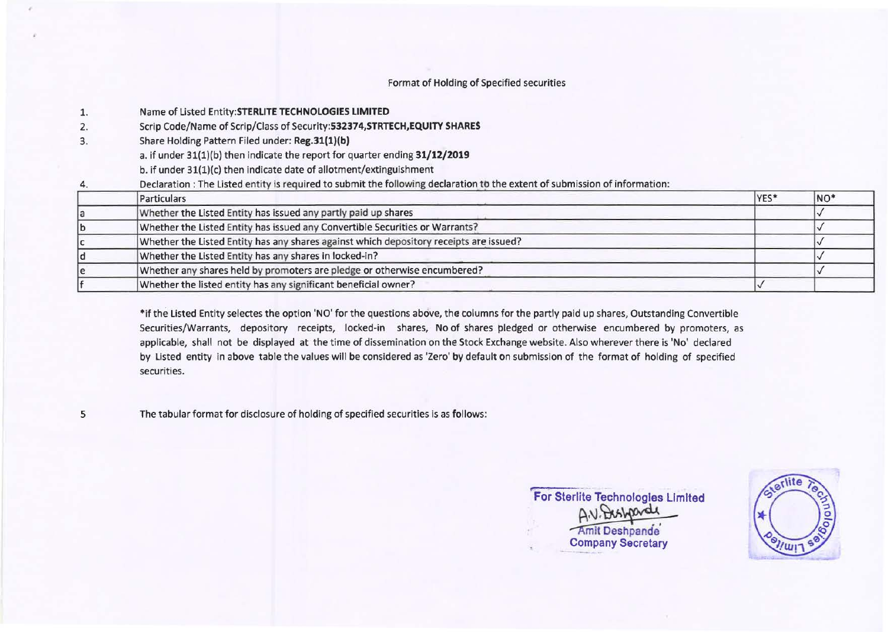# Format of Holding of Specified securities

| 1. | Name of Listed Entity: STERLITE TECHNOLOGIES LIMITED                                                                       |      |                 |
|----|----------------------------------------------------------------------------------------------------------------------------|------|-----------------|
| 2. | Scrip Code/Name of Scrip/Class of Security: 532374, STRTECH, EQUITY SHARES                                                 |      |                 |
| 3. | Share Holding Pattern Filed under: Reg.31(1)(b)                                                                            |      |                 |
|    | a. if under 31(1)(b) then indicate the report for quarter ending 31/12/2019                                                |      |                 |
|    | b. if under 31(1)(c) then indicate date of allotment/extinguishment                                                        |      |                 |
| 4. | Declaration: The Listed entity is required to submit the following declaration to the extent of submission of information: |      |                 |
|    | Particulars                                                                                                                | YES* | NO <sup>*</sup> |
|    | Whether the Listed Entity has issued any partly paid up shares                                                             |      |                 |
|    | Whether the Listed Entity has issued any Convertible Securities or Warrants?                                               |      |                 |
|    | Whether the Listed Entity has any shares against which depository receipts are issued?                                     |      |                 |
|    | Whether the Listed Entity has any shares in locked-in?                                                                     |      |                 |
|    |                                                                                                                            |      |                 |
|    | Whether any shares held by promoters are pledge or otherwise encumbered?                                                   |      |                 |

\*if the Listed Entity selectes the option **'NO'** for the questions above, the columns for the partly paid up shares, Outstanding Convertible Securities/Warrants, depository receipts, locked-in shares, No of shares pledged or otherwise encumbered by promoters, as applicable, shall not be displayed at the time of dissemination on the Stock Exchange website. Also wherever there is 'No' declared by Listed entity in above table the values will be considered as 'Zero' by default on submission of the format of holding of specified securities.

5

The tabular format for disclosure of holding of specified securities is as follows:

**For Sterlite Technologies Limited**  A.V. Dishparde Amit Deshpande Company Secretary

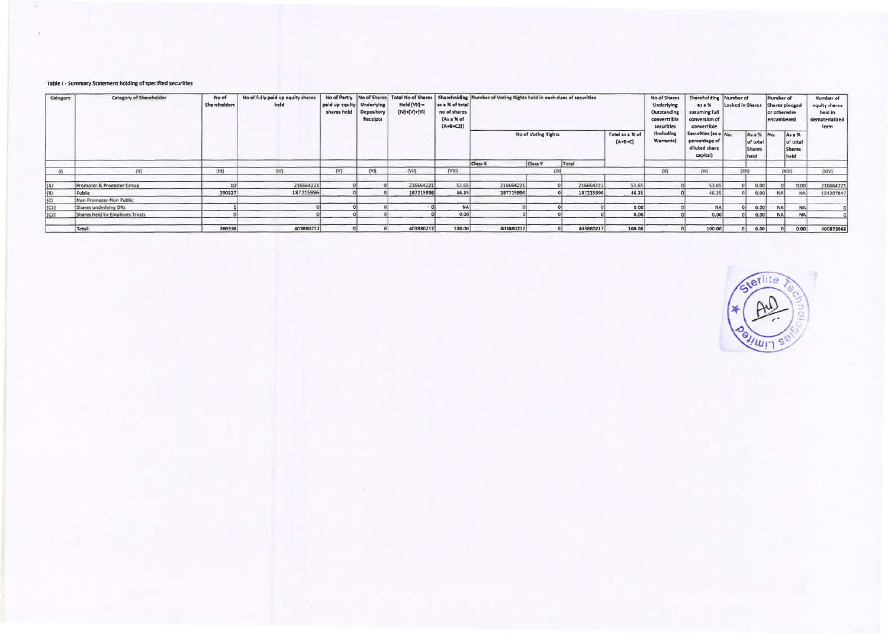#### Table I - Summary Statement holding of specified securities

| Category | Category of Shareholder        | No of<br>Shareholders | No of fully paid up equity shares<br>held | paid-up equity   Underlying<br>shares held | No of Partly No of Shares<br>Depository<br>Receipts | <b>Total No of Shares</b><br>Held (VII) $=$<br>$(IV) + (VI) + (VI)$ | as a % of total<br>no of shares<br>(As a % of<br>$(A+B+C2))$ | Shareholding Number of Voting Rights held in each class of securities |         |           |                              | No of Shares<br>Underlying<br>Outstanding<br>converttible<br>securities | Shareholding Number of<br>25.1%<br>assuming full<br>conversion of<br>convertible | Locked in Shares |                                                 | Number of<br>Shares pledged<br>or otherwise<br>encumbered |                                      | Number of<br>equity shares<br>held in<br>dematerialized<br>form |
|----------|--------------------------------|-----------------------|-------------------------------------------|--------------------------------------------|-----------------------------------------------------|---------------------------------------------------------------------|--------------------------------------------------------------|-----------------------------------------------------------------------|---------|-----------|------------------------------|-------------------------------------------------------------------------|----------------------------------------------------------------------------------|------------------|-------------------------------------------------|-----------------------------------------------------------|--------------------------------------|-----------------------------------------------------------------|
|          |                                |                       |                                           |                                            |                                                     |                                                                     |                                                              | No of Voting Rights                                                   |         |           | Totel as a % of<br>$(A+B+C)$ | (Including<br>Warrants)                                                 | Securities (as a No.<br>percentage of<br>diluted share<br>capital)               |                  | As a % No.<br>of total<br><b>Shares</b><br>held |                                                           | As a %<br>of total<br>Shares<br>held |                                                                 |
|          |                                |                       |                                           |                                            |                                                     |                                                                     |                                                              | Class X                                                               | Class Y | Total     |                              |                                                                         |                                                                                  |                  |                                                 |                                                           |                                      |                                                                 |
|          | (11)                           | (III)                 | (IV)                                      | (N)                                        | (VI)                                                | TVM                                                                 | (VIII)                                                       |                                                                       |         | 18X3      |                              | $\infty$                                                                | (20)                                                                             |                  | EXHI                                            |                                                           | <b>CK3101</b>                        | [XY]                                                            |
| ٤A١      | Promoter & Promoter Group      | 10                    | 216664221                                 |                                            |                                                     | 216664221                                                           | 53.65                                                        | 216664221                                                             |         | 216664221 | 53.65                        |                                                                         | 53.65                                                                            |                  | 0.00                                            |                                                           | 0.00                                 | 216664221                                                       |
|          | Public                         | 200327                | 187215996                                 |                                            |                                                     | 187215996                                                           | 46.35                                                        | 187215996                                                             |         | 187215996 | 46.35                        |                                                                         | 46.35                                                                            |                  | 0.00                                            | <b>NA</b>                                                 | NA                                   | 184207847                                                       |
|          | Non Promoter-Non Public        |                       |                                           |                                            |                                                     |                                                                     |                                                              |                                                                       |         |           |                              |                                                                         |                                                                                  |                  |                                                 |                                                           |                                      |                                                                 |
| (C1)     | Shares underlying DRs          |                       |                                           |                                            |                                                     |                                                                     | <b>NA</b>                                                    |                                                                       |         |           | 0.00                         |                                                                         | NA                                                                               |                  | 0.00                                            | <b>NA</b>                                                 | <b>NA</b>                            |                                                                 |
| (C2)     | Shares held by Employes Trusts |                       |                                           |                                            |                                                     |                                                                     | 0.00                                                         |                                                                       |         |           | 0.00                         |                                                                         | 0.00                                                                             |                  | 0.00                                            | <b>NA</b>                                                 | N/                                   |                                                                 |
|          | Total:                         | 200338                | 403880217                                 |                                            |                                                     | 403880217                                                           | 100.00                                                       | 403880217                                                             |         | 403880217 | 100.00                       |                                                                         | 100.00                                                                           |                  | 0.00                                            |                                                           | 0.00                                 | 400872068                                                       |

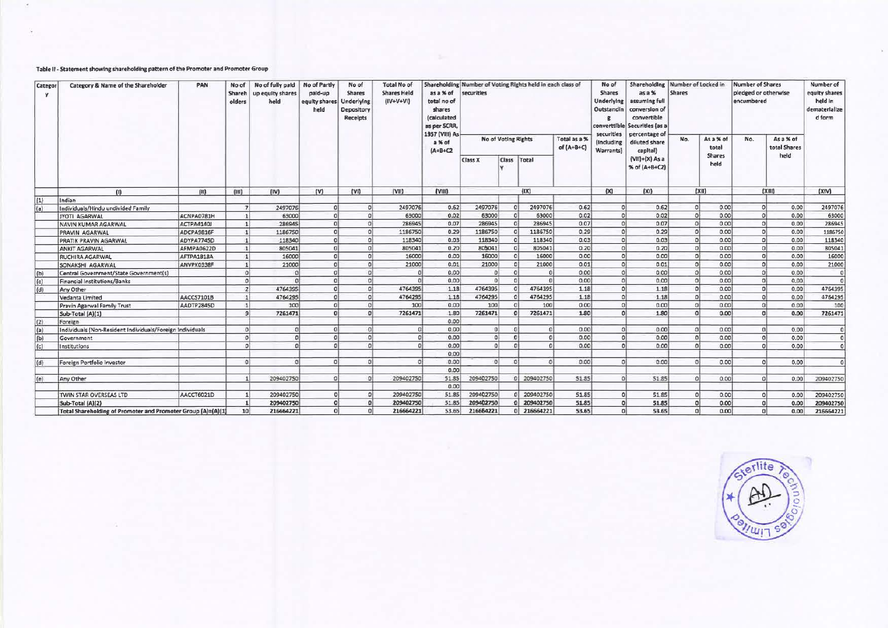## **Table** II - **Statement showing shareholding pattern of the Promoter and Promoter Group**

| Categor<br><b>Y</b> |                                                              | Category & Name of the Shareholder | PAN             | No of<br>Shareh<br>olders | No of fully paid<br>up equity shares<br>held | No of Partly<br>paid-up<br>equity shares<br>held | No of<br>Shares<br>Underlying<br>Depository<br>Receipts | <b>Total No of</b><br><b>Shares Held</b><br>$(IV+V+VI)$ | as a % of<br>total no of<br>shares<br>(calculated<br>as per SCRR<br>1957 (VIII) As | Shareholding Number of Voting Rights held in each class of<br>securities |                 |                            | No of<br><b>Shares</b><br>Underlying<br>Outstandin | Shareholding<br>asa%<br>assuming full<br>conversion of<br>convertible<br>converttible Securities (as a | Number of Locked in<br><b>Shares</b> |                                     | <b>Number of Shares</b><br>pledged or otherwise<br>encumbered |                                   | Number of<br>equity shares<br>held in<br>dematerialize<br>d form |  |
|---------------------|--------------------------------------------------------------|------------------------------------|-----------------|---------------------------|----------------------------------------------|--------------------------------------------------|---------------------------------------------------------|---------------------------------------------------------|------------------------------------------------------------------------------------|--------------------------------------------------------------------------|-----------------|----------------------------|----------------------------------------------------|--------------------------------------------------------------------------------------------------------|--------------------------------------|-------------------------------------|---------------------------------------------------------------|-----------------------------------|------------------------------------------------------------------|--|
|                     |                                                              |                                    |                 |                           |                                              |                                                  |                                                         | a % of<br>$(A+B+C2$                                     | No of Voting Rights                                                                |                                                                          |                 | Total as a %<br>of (A+B+C) | securities<br>(Including<br>Warrants)              | percentage of<br>diluted share<br>capital)                                                             | No.                                  | As a % of<br>total<br><b>Shares</b> | No.                                                           | As a % of<br>total Shares<br>held |                                                                  |  |
|                     |                                                              |                                    |                 |                           |                                              |                                                  |                                                         |                                                         | Class X                                                                            | <b>Class</b>                                                             | Total           |                            |                                                    | $(VIII)+(X)$ As a<br>% of (A+B+C2)                                                                     |                                      | held                                |                                                               |                                   |                                                                  |  |
|                     | $\mathbf{m}$                                                 | (H)                                | (III)           | (IV)                      | (v)                                          | (VI)                                             | [V1]                                                    | (VIII)                                                  |                                                                                    |                                                                          | (1)             |                            |                                                    | (XI)                                                                                                   | [X]                                  |                                     | (X  1)                                                        |                                   | (XIV)                                                            |  |
| (1)                 | Indian                                                       |                                    |                 |                           |                                              |                                                  |                                                         |                                                         |                                                                                    |                                                                          |                 |                            |                                                    |                                                                                                        |                                      |                                     |                                                               |                                   |                                                                  |  |
| (a)                 | Individuals/Hindu undivided Family                           |                                    | $\mathbf{z}$    | 2497076                   | $\Omega$                                     |                                                  | 2497076                                                 | 0.62                                                    | 2497076                                                                            | oi                                                                       | 2497076         | 0.62                       | 0                                                  | 0.62                                                                                                   | $\Omega$                             | 0.00                                |                                                               | 0.00<br>$\Omega$                  | 2497076                                                          |  |
|                     | JYOTI AGARWAL                                                | ACNPA0781H                         |                 | 63000                     |                                              |                                                  | 63000                                                   | 0.02                                                    | 63000                                                                              |                                                                          | 63000           | 0.02                       | $\circ$                                            | 0.02                                                                                                   |                                      | 0.00                                |                                                               | $\Omega$<br>0.00                  | 63000                                                            |  |
|                     | NAVIN KUMAR AGARWAL                                          | ACTPA4140J                         |                 | 286945                    | $\Omega$                                     | ۵ł                                               | 286945                                                  | 0.07                                                    | 286945                                                                             | $\Omega$                                                                 | 286945          | 0.07                       | $\circ$                                            | 0.07                                                                                                   | $\Omega$                             | 0.00                                |                                                               | 0 <br>0.00                        | 286945                                                           |  |
|                     | <b>PRAVIN AGARWAL</b>                                        | ADCPA9816F                         |                 | 1186750                   |                                              |                                                  | 1186750                                                 | 0.29                                                    | 1186750                                                                            | $\Omega$                                                                 | 1186750         | 0.29                       | $\Omega$                                           | 0.29                                                                                                   |                                      | 0.00                                |                                                               | $\Omega$<br>0.00                  | 1186750                                                          |  |
|                     | <b>PRATIK PRAVIN AGARWAL</b>                                 | <b>ADYPA7745D</b>                  |                 | 118340                    |                                              |                                                  | 118340                                                  | 0.03                                                    | 118340                                                                             | $\Omega$                                                                 | 118340          | 0.03                       | $\mathfrak{g}$                                     | 0.03                                                                                                   |                                      | 0.00                                |                                                               | $\Omega$<br>0.00                  | 118340                                                           |  |
|                     | <b>ANKIT AGARWAL</b>                                         | AFMPA0622D                         |                 | 805041                    | $\Omega$                                     | n.                                               | 805041                                                  | 0.20                                                    | 805041                                                                             | $\Omega$                                                                 | 805041          | 0.20                       | $\Omega$                                           | 0.20                                                                                                   |                                      | 0.00                                |                                                               | $\Omega$<br>0.00                  | 805041                                                           |  |
|                     | <b>RUCHIRA AGARWAL</b>                                       | AFTPA1818A                         |                 | 16000                     |                                              |                                                  | 16000                                                   | 0.00                                                    | 16000                                                                              |                                                                          | 16000           | 0.00                       | $\Omega$                                           | 0.00                                                                                                   | $\Omega$                             | 0.00                                |                                                               | 0 <sup>1</sup><br>0.00            | 16000                                                            |  |
|                     | <b>SONAKSHI AGARWAL</b>                                      | ANVPK0338F                         |                 | 21000                     |                                              | ۵l                                               | 21000                                                   | 0.01                                                    | 21000                                                                              | D <sub>1</sub>                                                           | 21000           | 0.01                       | $\Omega$                                           | 0.01                                                                                                   | $\Omega$                             | 0.00                                |                                                               | $\Omega$<br>0.00                  | 21000                                                            |  |
| (b)                 | Central Government/State Government(s)                       |                                    | $\Omega$        |                           |                                              |                                                  |                                                         | 0.00                                                    | $\Omega$                                                                           | $\Omega$                                                                 | $\Omega$        | 0.00                       | $\circ$                                            | 0.00                                                                                                   |                                      | 0.00                                |                                                               | 0.00<br>$\Omega$                  | $\Omega$                                                         |  |
| (c)                 | <b>Financial Institutions/Banks</b>                          |                                    | $\Omega$        |                           |                                              |                                                  |                                                         | 0.00                                                    | $\Omega$                                                                           |                                                                          | $\Omega$        | 0.00                       | $\Omega$                                           | 0.00                                                                                                   |                                      | 0.00                                |                                                               | 0.00<br>$\Omega$                  | $\Omega$                                                         |  |
| (d)                 | Any Other                                                    |                                    | $\overline{2}$  | 4764395                   | $\Omega$                                     | οł                                               | 4764395                                                 | 1.18                                                    | 4764395                                                                            |                                                                          | 4764395         | 1.18                       | $\Omega$                                           | 1.18                                                                                                   |                                      | 0.00                                |                                                               | 0 <sup>1</sup><br>0.00            | 4764395                                                          |  |
|                     | Vedanta Limited                                              | AACCS7101B                         |                 | 4764295                   |                                              | n١                                               | 4764295                                                 | 1.18                                                    | 4764295                                                                            |                                                                          | 4764295         | 1.18                       | $\Omega$                                           | 1.18                                                                                                   |                                      | 0.00                                |                                                               | 0.00<br>$\Omega$                  | 4764295                                                          |  |
|                     | Pravin Agarwal Family Trust                                  | AADTP2845D                         |                 | 100                       | $\Omega$                                     |                                                  | 100                                                     | 0.00                                                    | 100                                                                                |                                                                          | 100             | 0.00                       | $\Omega$                                           | 0.00                                                                                                   |                                      | 0.00                                |                                                               | $\theta$<br>0.00                  | 100                                                              |  |
|                     | Sub-Total (A)(1)                                             |                                    |                 | 7261471                   |                                              |                                                  | 7261471                                                 | 1.80                                                    | 7261471                                                                            |                                                                          | 7261471         | 1.80                       | $\Omega$                                           | 1.80                                                                                                   | $\Omega$                             | 0.00                                |                                                               | $\Omega$<br>0.00                  | 726147                                                           |  |
| (2)                 | Foreign                                                      |                                    |                 |                           |                                              |                                                  |                                                         | 0.00                                                    |                                                                                    |                                                                          |                 |                            |                                                    |                                                                                                        |                                      |                                     |                                                               |                                   |                                                                  |  |
| (a)                 | Individuals (Non-Resident Individuals/Foreign Individuals    |                                    | $\Omega$        | $\Omega$                  |                                              |                                                  | $\Omega$                                                | 0.00                                                    | 0 <sup>1</sup>                                                                     |                                                                          | $\Omega$        | 0.00                       | ۰ol                                                | 0.00                                                                                                   | $\Omega$                             | 0.00                                |                                                               | 0.00<br>$\sigma$                  | $\Omega$                                                         |  |
| (b)                 | Government                                                   |                                    | $\Omega$        | $\Omega$                  |                                              | nl                                               |                                                         | 0.00                                                    | $\Omega$                                                                           | $\Omega$                                                                 | $\Omega$        | 0.00                       | $\Omega$                                           | 0.00                                                                                                   | $\Omega$                             | 0.00                                |                                                               | 0.00<br>$\Omega$                  | ol                                                               |  |
| (c)                 | Institutions                                                 |                                    | $\Omega$        | $\Omega$                  |                                              | ni                                               |                                                         | 0.00                                                    | $\Omega$                                                                           |                                                                          |                 | 0.00                       | $\Omega$                                           | 0.00                                                                                                   |                                      | 0.00                                |                                                               | 0.00<br>$\Omega$                  | $\Omega$                                                         |  |
|                     |                                                              |                                    |                 |                           |                                              |                                                  |                                                         | 0.00                                                    |                                                                                    |                                                                          |                 |                            |                                                    |                                                                                                        |                                      |                                     |                                                               |                                   |                                                                  |  |
| (d)                 | Foreign Portfolio Investor                                   |                                    | $\Omega$        | ni                        | $\Omega$                                     |                                                  |                                                         | 0.00                                                    | ol                                                                                 | $\Omega$                                                                 | $\Omega$        | 0.00                       | $\Omega$                                           | 0.00                                                                                                   |                                      | 0.00                                |                                                               | 0.00<br>$\Omega$                  |                                                                  |  |
|                     |                                                              |                                    |                 |                           |                                              |                                                  |                                                         | 0.00                                                    |                                                                                    |                                                                          |                 |                            |                                                    |                                                                                                        |                                      |                                     |                                                               |                                   |                                                                  |  |
| (e)                 | Any Other                                                    |                                    |                 | 209402750                 | $\Omega$                                     |                                                  | 209402750                                               | 51.85                                                   | 209402750                                                                          |                                                                          | 209402750<br>D1 | 51.85                      | ol                                                 | 51.85                                                                                                  | $\Omega$                             | 0.00                                |                                                               | 0.00<br>$\Omega$                  | 209402750                                                        |  |
|                     |                                                              |                                    |                 |                           |                                              |                                                  |                                                         | 0.00                                                    |                                                                                    |                                                                          |                 |                            |                                                    |                                                                                                        |                                      |                                     |                                                               |                                   |                                                                  |  |
|                     | TWIN STAR OVERSEAS LTD                                       | AACCT6021D                         |                 | 209402750                 |                                              |                                                  | 209402750                                               | 51.85                                                   | 209402750                                                                          |                                                                          | 209402750       | 51.85                      | 0 <sup>1</sup>                                     | 51.85                                                                                                  | $\Omega$                             | 0.00                                |                                                               | 0 <br>0.00                        | 209402750                                                        |  |
|                     | Sub-Total (A)(2)                                             |                                    |                 | 209402750                 |                                              |                                                  | 209402750                                               | 51.85                                                   | 209402750                                                                          |                                                                          | 209402750       | 51.85                      | $\Omega$                                           | 51.85                                                                                                  |                                      | 0.00                                |                                                               | 0.00<br><sub>0</sub>              | 209402750                                                        |  |
|                     | Total Shareholding of Promoter and Promoter Group [A]=(A)[1] |                                    | 10 <sup>1</sup> | 216664221                 |                                              |                                                  | 216664221                                               | 53.65                                                   | 216664221                                                                          |                                                                          | 216664221<br>٥I | 53.65                      | $\Omega$                                           | 53.65                                                                                                  | $\Omega$                             | 0.00                                |                                                               | $\Omega$<br>0.00                  | 216664221                                                        |  |

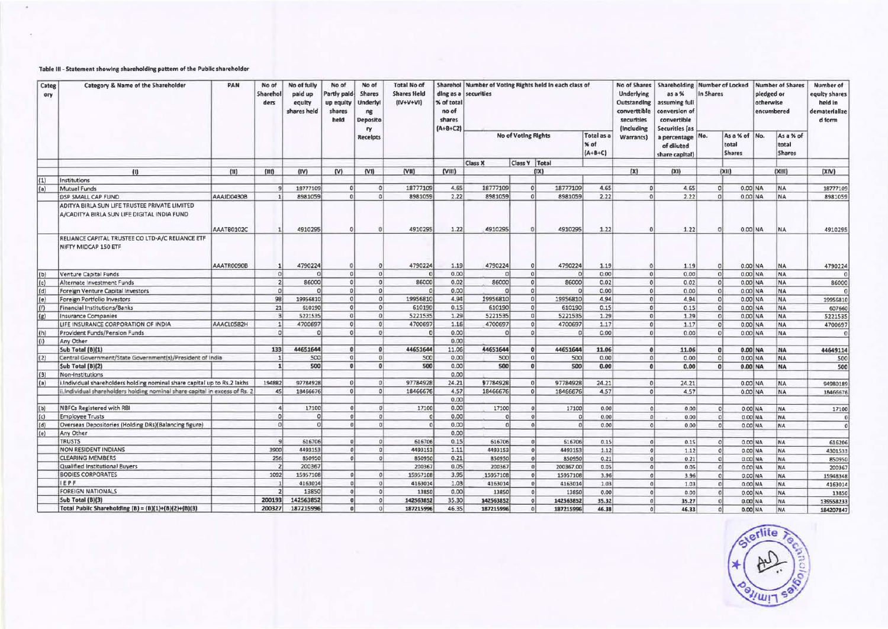## Table III - Statement showing shareholding pattern of the Public shareholder

G.

| Categ<br>ory | Category & Name of the Shareholder                                                           | PAN        | No of<br>Sharehol<br>ders | No of fully<br>paid up<br>equity<br>shares held | No of<br>Partly paid<br>up equity<br>shares<br>held | No of<br><b>Shares</b><br><b>Underlyl</b><br>ng<br><b>Deposito</b> | <b>Total No of</b><br><b>Shares Held</b><br>$[IV+V+VI]$ | ding as a<br>% of total<br>no of<br>shares<br>$(A+B+C2)$ | Sharehol Number of Voting Rights held in each class of<br>securities |                 |                |           |                                 | No of Shares<br><b>Underlying</b><br>Outstanding<br>converttible<br>securities | Shareholding Number of Locked<br>as a %<br>assuming full<br>onversion of:<br>convertible<br><b>Securities (as</b> | In Shares |                                         | pledged or<br>otherwise | <b>Number of Shares</b><br>encumbered | Number of<br>equity shares<br>held in<br>dematerialize<br>d form |
|--------------|----------------------------------------------------------------------------------------------|------------|---------------------------|-------------------------------------------------|-----------------------------------------------------|--------------------------------------------------------------------|---------------------------------------------------------|----------------------------------------------------------|----------------------------------------------------------------------|-----------------|----------------|-----------|---------------------------------|--------------------------------------------------------------------------------|-------------------------------------------------------------------------------------------------------------------|-----------|-----------------------------------------|-------------------------|---------------------------------------|------------------------------------------------------------------|
|              |                                                                                              |            |                           |                                                 |                                                     | ry<br><b>Receipts</b>                                              |                                                         |                                                          | <b>No of Voting Rights</b>                                           |                 |                |           | Total as a<br>% of<br>$(A+B+C)$ | <i>(Including</i><br>Warrants)                                                 | percentage No.<br>of diluted<br>share capital)                                                                    |           | As a % of No.<br>total<br><b>Shares</b> |                         | As a % of<br>total<br><b>Shares</b>   |                                                                  |
|              |                                                                                              |            |                           |                                                 |                                                     |                                                                    |                                                         |                                                          | <b>Class X</b>                                                       | Class Y   Total |                |           |                                 |                                                                                |                                                                                                                   |           |                                         |                         |                                       |                                                                  |
|              | (1)                                                                                          | (11)       | (III)                     | (IV)                                            | $(\mathsf{W})$                                      | (VI)                                                               | (VII)                                                   | (VIII)                                                   |                                                                      |                 | (X1)           |           |                                 | (X)                                                                            | (X1)                                                                                                              |           | (X  )                                   |                         | (XIII)                                | (XIN)                                                            |
| (1)          | Institutions                                                                                 |            |                           |                                                 |                                                     |                                                                    |                                                         |                                                          |                                                                      |                 |                |           |                                 |                                                                                |                                                                                                                   |           |                                         |                         |                                       |                                                                  |
| (a)          | Mutual Funds                                                                                 |            |                           | 18777109                                        | $\Omega$                                            | ol                                                                 | 18777109                                                | 4.65                                                     | 18777109                                                             |                 | $\Omega$       | 18777109  | 4.65                            | ol                                                                             | 4.65                                                                                                              |           | $\Omega$                                | $0.00$ NA               | <b>NA</b>                             | 18777109                                                         |
|              | <b>DSP SMALL CAP FUND</b>                                                                    | AAAJD0430B |                           | 8981059                                         | $\Omega$                                            | ol                                                                 | 8981059                                                 | 2.22                                                     | 8981059                                                              |                 | $\sigma$       | 8981059   | 2.22                            | $\Omega$                                                                       | 2.22                                                                                                              |           |                                         | 0.00 NA                 | <b>NA</b>                             | 8981059                                                          |
|              | ADITYA BIRLA SUN LIFE TRUSTEE PRIVATE LIMITED<br>A/CADITYA BIRLA SUN LIFE DIGITAL INDIA FUND | AAATB0102C |                           | 4910295                                         |                                                     | n                                                                  | 4910295                                                 | 1.22                                                     | 4910295                                                              |                 | $\Omega$       | 4910295   | 1.22                            | $\Omega$                                                                       | 1.22                                                                                                              |           |                                         | $0.00$ NA               | <b>NA</b>                             | 4910295                                                          |
|              | RELIANCE CAPITAL TRUSTEE CO LTD-A/C RELIANCE ETF<br>NIFTY MIDCAP 150 ETF                     | AAATROO9OB |                           | 4790224                                         | $\Omega$                                            | $\Omega$                                                           | 4790224                                                 | 1.19                                                     | 4790224                                                              |                 | $\Omega$       | 4790224   | 1.19                            | $\Omega$                                                                       | 1.19                                                                                                              |           |                                         | $0.00$ NA               | NA                                    | 4790224                                                          |
| (b)          | Venture Capital Funds                                                                        |            | ol                        |                                                 | ol                                                  | $\Omega$                                                           | $\Omega$                                                | 0.00                                                     | $\Omega$                                                             |                 | $\Omega$       | $\Omega$  | 0.00                            | 0                                                                              | 0.00                                                                                                              |           | $\Omega$                                | $0.00$ NA               | <b>NA</b>                             | $\alpha$                                                         |
| (c)          | Alternate Investment Funds                                                                   |            | 2                         | 86000                                           | 0                                                   | $\Omega$                                                           | 86000                                                   | 0.02                                                     | 86000                                                                |                 | 0              | 86000     | 0.02                            | $\Omega$                                                                       | 0.02                                                                                                              |           | $\Omega$                                | $0.00$ NA               | <b>NA</b>                             | 86000                                                            |
| (d)          | Foreign Venture Capital Investors                                                            |            | 0                         |                                                 | 0 <sup>1</sup>                                      | $\Omega$                                                           |                                                         | 0.00                                                     | $\Omega$                                                             |                 | $\circ$        | $\Omega$  | 0.00                            | 0                                                                              | 0.00                                                                                                              |           | $\Omega$                                | $0.00$ NA               | <b>NA</b>                             | $\Omega$                                                         |
| (e)          | Foreign Portfolio Investors                                                                  |            | 98                        | 19956810                                        | $\circ$                                             | 0                                                                  | 19956810                                                | 4.94                                                     | 19956810                                                             |                 | $\circ$        | 19956810  | 4.94                            | 0                                                                              | 4.94                                                                                                              |           | $\Omega$                                | $0.00$ NA               | NA                                    | 19956810                                                         |
| (f)          | Financial Institutions/Banks                                                                 |            | 21                        | 610190                                          | $\Omega$                                            | $\Omega$                                                           | 610190                                                  | 0.15                                                     | 610190                                                               |                 | $\Omega$       | 610190    | 0.15                            | 0                                                                              | 0.15                                                                                                              |           |                                         | 0.00 NA                 | NA                                    | 607660                                                           |
| (g)          | Insurance Companies                                                                          |            | 3                         | 5221535                                         | 0 <sup>1</sup>                                      | $\Omega$                                                           | 5221535                                                 | 1.29                                                     | 5221535                                                              |                 | $\Omega$       | 5221535   | 1.29                            | $\Omega$                                                                       | 1.29                                                                                                              |           |                                         | $0.00$ NA               | NA                                    | 5221535                                                          |
|              | LIFE INSURANCE CORPORATION OF INDIA                                                          | AAACL0582H | 1                         | 4700697                                         | $\Omega$                                            | $\alpha$                                                           | 4700697                                                 | 1.16                                                     | 4700697                                                              |                 | $\Omega$       | 4700697   | 1.17                            | $\Omega$                                                                       | 1.17                                                                                                              |           |                                         | 0.00 NA                 | <b>NA</b>                             | 4700697                                                          |
| (h)          | Provident Funds/Pension Funds                                                                |            | $\Omega$                  |                                                 | $\Omega$                                            | $\overline{0}$                                                     | n                                                       | 0.00                                                     | $\Omega$                                                             |                 | $\Omega$       | n         | 0.00                            | $\circ$                                                                        | 0.00                                                                                                              |           | $\Omega$                                | $0.00$ NA               | <b>NA</b>                             | $\Omega$                                                         |
| (i)          | Any Other                                                                                    |            |                           |                                                 |                                                     |                                                                    |                                                         | 0.00                                                     |                                                                      |                 |                |           |                                 |                                                                                |                                                                                                                   |           |                                         |                         |                                       |                                                                  |
|              | Sub Total (B)(1)                                                                             |            | 133                       | 44651644                                        | $\mathbf{0}$                                        | $\mathbf{0}$                                                       | 44651644                                                | 11.06                                                    | 44651644                                                             |                 | $\Omega$       | 44651644  | 11.06                           | $\theta$                                                                       | 11.06                                                                                                             |           | $\Omega$                                | 0.00 NA                 | <b>NA</b>                             | 44649114                                                         |
| (2)          | Central Government/State Government(s)/President of India                                    |            | 11                        | 500                                             | 0                                                   | $\overline{0}$                                                     | 500                                                     | 0.00                                                     | 500                                                                  |                 | $\Omega$       | 500       | 0.00                            | 0                                                                              | 0.00                                                                                                              |           | $\Omega$                                | $0.00$ NA               | <b>NA</b>                             | 500                                                              |
|              | Sub Total (B)(2)                                                                             |            | 1                         | 500                                             | 0 <sup>1</sup>                                      | $\mathbf{0}$                                                       | 500                                                     | 0.00                                                     | 500                                                                  |                 | $\Omega$       | 500       | 0.00                            | $\Omega$                                                                       | 0.00                                                                                                              |           | $\Omega$                                | $0.00$ NA               | <b>NA</b>                             | 500                                                              |
| (3)          | Non-Institutions                                                                             |            |                           |                                                 |                                                     |                                                                    |                                                         | 0.00                                                     |                                                                      |                 |                |           |                                 |                                                                                |                                                                                                                   |           |                                         |                         |                                       |                                                                  |
| (a)          | i.Individual shareholders holding nominal share capital up to Rs.2 lakhs                     |            | 194882                    | 97784928                                        | $\Omega$                                            | $\Omega$                                                           | 97784928                                                | 24.21                                                    | 97784928                                                             | $\Omega$        |                | 97784928  | 24.21                           | $\Omega$                                                                       | 24.21                                                                                                             |           |                                         | 0.00 NA                 | <b>NA</b>                             | 94980189                                                         |
|              | ii.Individual shareholders holding nominal share capital in excess of Rs. 2                  |            | 45                        | 18466676                                        | <sub>0</sub>                                        | $\Omega$                                                           | 18466676                                                | 4.57                                                     | 18466676                                                             |                 | $\Omega$       | 18466676  | 4.57                            | $\Omega$                                                                       | 4.57                                                                                                              |           |                                         | 0.00 NA                 | <b>NA</b>                             | 18466676                                                         |
|              |                                                                                              |            |                           |                                                 |                                                     |                                                                    |                                                         | 0.00                                                     |                                                                      |                 |                |           |                                 |                                                                                |                                                                                                                   |           |                                         |                         |                                       |                                                                  |
| (b)          | NBFCs Registered with RBI                                                                    |            | 4                         | 17100                                           | $\Omega$                                            | n                                                                  | 17100                                                   | 0.00                                                     | 17100                                                                |                 | $\overline{0}$ | 17100     | 0.00                            | $\Omega$                                                                       | 0.00                                                                                                              |           |                                         | 0.00 NA                 | NA                                    | 17100                                                            |
| (c)          | <b>Employee Trusts</b>                                                                       |            | $\Omega$                  | $\Omega$                                        | $\Omega$                                            | $\Omega$                                                           | $\Omega$                                                | 0.00                                                     | $\circ$                                                              |                 | $\Omega$       | $\Omega$  | 0.00                            | $\Omega$                                                                       | 0.00                                                                                                              |           |                                         | 0.00 NA                 | <b>NA</b>                             | $\Omega$                                                         |
| (d)          | Overseas Depositories (Holding DRs)(Balancing figure)                                        |            | $\Omega$                  | $\Omega$                                        | $\Omega$                                            | $\Omega$                                                           | $\Omega$                                                | 0.00                                                     | $\Omega$                                                             |                 | $\Omega$       | G.        | 0.00                            | $\Omega$                                                                       | 0.00                                                                                                              |           |                                         | 0.00 NA                 | <b>NA</b>                             | $\Omega$                                                         |
| (e)          | Any Other                                                                                    |            |                           |                                                 |                                                     |                                                                    |                                                         | 0.00                                                     |                                                                      |                 |                |           |                                 |                                                                                |                                                                                                                   |           |                                         |                         |                                       |                                                                  |
|              | <b>TRUSTS</b>                                                                                |            | $\overline{a}$            | 616706                                          |                                                     | $\Omega$                                                           | 616706                                                  | 0.15                                                     | 616706                                                               |                 | $\Omega$       | 616706    | 0.15                            | $\Omega$                                                                       | 0.15                                                                                                              |           |                                         | 0.00 NA                 | <b>NA</b>                             | 616206                                                           |
|              | <b>NON RESIDENT INDIANS</b>                                                                  |            | 3900                      | 4493153                                         | οl                                                  | $\Omega$                                                           | 4493153                                                 | 1.11                                                     | 4493153                                                              |                 | $\Omega$       | 4493153   | 1.12                            | $\alpha$                                                                       | 1.12                                                                                                              |           |                                         | 0.00 NA                 | <b>NA</b>                             | 4301533                                                          |
|              | <b>CLEARING MEMBERS</b>                                                                      |            | 256                       | 850950                                          | ΩÌ                                                  | $\sigma$                                                           | 850950                                                  | 0.21                                                     | 850950                                                               |                 | $\Omega$       | 850950    | 0.21                            | $\Omega$                                                                       | 0.21                                                                                                              |           |                                         | $0.00$ NA               | NA                                    | 850950                                                           |
|              | Qualified Institutional Buyers                                                               |            | $\overline{2}$            | 200367                                          |                                                     |                                                                    | 200367                                                  | 0.05                                                     | 200367                                                               |                 | $\Omega$       | 200367.00 | 0.05                            | $\Omega$                                                                       | 0.05                                                                                                              |           |                                         | 0.00 NA                 | NA                                    | 200367                                                           |
|              | <b>BODIES CORPORATES</b>                                                                     |            | 1092                      | 15957108                                        | ol                                                  | $\Omega$                                                           | 15957108                                                | 3.95                                                     | 15957108                                                             |                 | $\circ$        | 15957108  | 3.96                            | $\alpha$                                                                       | 3.96                                                                                                              |           |                                         | 0.00 NA                 | <b>NA</b>                             | 15948348                                                         |
|              | <b>IEPF</b>                                                                                  |            |                           | 4163014                                         | ol                                                  | $\sigma$                                                           | 4163014                                                 | 1.03                                                     | 4163014                                                              |                 | $\Omega$       | 4163014   | 1.03                            | $\Omega$                                                                       | 1.03                                                                                                              |           |                                         | $0.00$ NA               | NA                                    | 4163014                                                          |
|              | <b>FOREIGN NATIONALS</b>                                                                     |            | $\overline{2}$            | 13850                                           | 0 <sup>1</sup>                                      | $\Omega$                                                           | 13850                                                   | 0.00                                                     | 13850                                                                |                 | $\Omega$       | 13850     | 0.00                            | $\Omega$                                                                       | 0.00                                                                                                              |           |                                         | 0.00 NA                 | <b>NA</b>                             | 13850                                                            |
|              | Sub Total (B)(3)                                                                             |            | 200193                    | 142563852                                       | al                                                  | $\Omega$                                                           | 142563852                                               | 35.30                                                    | 142563852                                                            |                 | $\Omega$       | 142563852 | 35.32                           | $\Omega$                                                                       | 35.27                                                                                                             |           |                                         | $0.00$ NA               | NA                                    | 139558233                                                        |
|              | Total Public Shareholding (B) = {B)(1}+(B)(2}+(B)(3)                                         |            | 200327                    | 187215996                                       | ol                                                  | $\sigma$                                                           | 187215996                                               | 46.35                                                    | 187215996                                                            |                 | $\Omega$       | 187215996 | 46.38                           | $\Omega$                                                                       | 46.33                                                                                                             |           | $\Omega$                                | $0.00$ NA               | <b>NA</b>                             | 184207847                                                        |

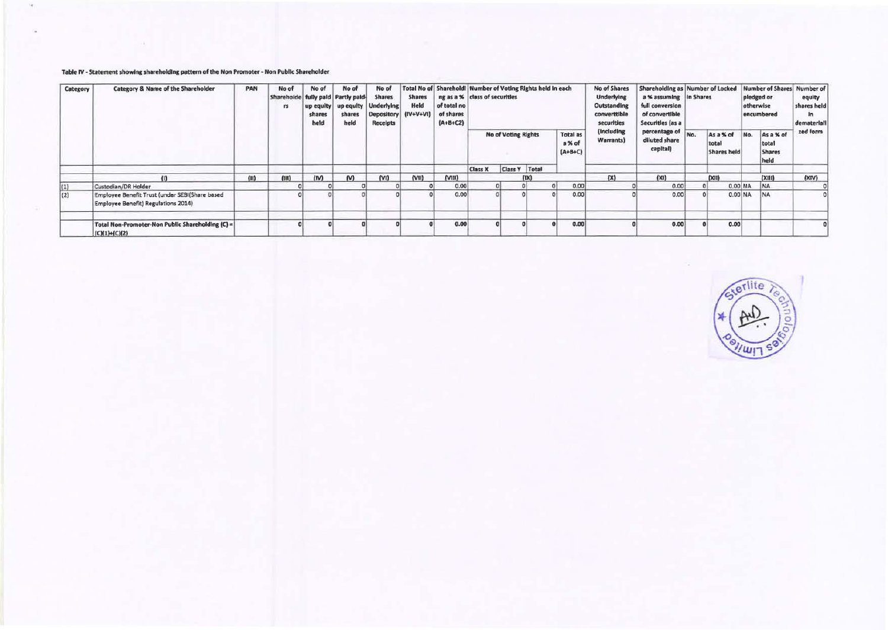#### Table IV - Statement showing shareholdlng pattern of the Non Promoter - Non Publk Shareholder

| Category          | Category & Name of the Shareholder                                                    |      |       |      |     |      |      |           | PAN                        | No of<br>Shareholde fully paid Partly paid-<br>rs | No of<br>shares<br>held | No of<br>shares<br>held                | No of<br><b>Shares</b><br>up equity   up equity   Underlying<br>Depository (IV+V+VI)<br><b>Receipts</b> | <b>Shares</b><br>Held                      | Total No of Sharehold! Number of Voting Rights held in each<br>ng as a % class of securities<br>of total no<br>of shares<br>$(A+B+C2)$ |                                   |           |                                             |          | No of Shares<br><b>Underlying</b><br>Outstanding<br>converttible<br>securities | Shareholding as Number of Locked<br>a % assuming in Shares<br>full conversion<br>of convertible<br>Securities (as a |  |  |  | pledged or<br>otherwise<br>encumbered | Number of Shares Number of<br>equity<br>shares held<br>1n<br>demateriall |
|-------------------|---------------------------------------------------------------------------------------|------|-------|------|-----|------|------|-----------|----------------------------|---------------------------------------------------|-------------------------|----------------------------------------|---------------------------------------------------------------------------------------------------------|--------------------------------------------|----------------------------------------------------------------------------------------------------------------------------------------|-----------------------------------|-----------|---------------------------------------------|----------|--------------------------------------------------------------------------------|---------------------------------------------------------------------------------------------------------------------|--|--|--|---------------------------------------|--------------------------------------------------------------------------|
|                   |                                                                                       |      |       |      |     |      |      |           | <b>No of Voting Rights</b> |                                                   |                         | <b>Total as</b><br>a % of<br>$(A+B+C)$ | (Including)<br>Warrants)                                                                                | percentage of<br>diluted share<br>capital) | No.                                                                                                                                    | As a % of<br>total<br>Shares held | No.       | As a % of<br>total<br><b>Shares</b><br>held | zed form |                                                                                |                                                                                                                     |  |  |  |                                       |                                                                          |
|                   |                                                                                       |      |       |      |     |      |      |           | <b>Class X</b>             | Class Y Total                                     |                         |                                        |                                                                                                         |                                            |                                                                                                                                        |                                   |           |                                             |          |                                                                                |                                                                                                                     |  |  |  |                                       |                                                                          |
|                   |                                                                                       | (11) | (III) | (IV) | (N) | (VI) | (VM) | $($ VIII) |                            |                                                   | (1)                     |                                        | (X)                                                                                                     | (XI)                                       |                                                                                                                                        | (X11)                             |           | (XIII)                                      | (XIN)    |                                                                                |                                                                                                                     |  |  |  |                                       |                                                                          |
| $\vert(1)\rangle$ | Custodian/DR Holder                                                                   |      |       |      |     |      |      | 0.00      |                            |                                                   |                         | 0.00                                   |                                                                                                         | 0.00                                       |                                                                                                                                        |                                   | $0.00$ NA | <b>NA</b>                                   |          |                                                                                |                                                                                                                     |  |  |  |                                       |                                                                          |
| (2)               | Employee Benefit Trust (under SEBI(Share based<br>Employee Benefit) Regulations 2014) |      |       |      |     |      |      | 0.00      |                            |                                                   |                         | 0.00                                   |                                                                                                         | 0.00                                       |                                                                                                                                        |                                   | 0.00 NA   | <b>NA</b>                                   |          |                                                                                |                                                                                                                     |  |  |  |                                       |                                                                          |
|                   | Total Non-Promoter-Non Public Shareholding (C) =<br>$(C)(1)+(C)(2)$                   |      |       |      |     |      |      | 0.00      |                            |                                                   |                         | 0.00                                   |                                                                                                         | 0.00                                       |                                                                                                                                        | 0.00                              |           |                                             |          |                                                                                |                                                                                                                     |  |  |  |                                       |                                                                          |